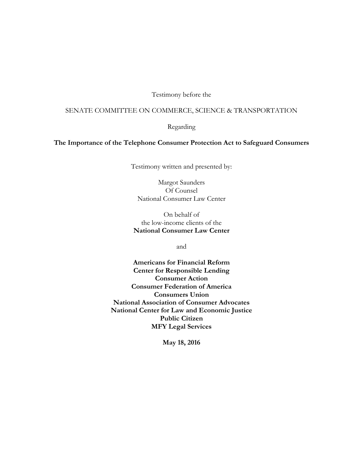Testimony before the

### SENATE COMMITTEE ON COMMERCE, SCIENCE & TRANSPORTATION

Regarding

**The Importance of the Telephone Consumer Protection Act to Safeguard Consumers**

Testimony written and presented by:

Margot Saunders Of Counsel National Consumer Law Center

On behalf of the low-income clients of the **National Consumer Law Center**

and

**Americans for Financial Reform Center for Responsible Lending Consumer Action Consumer Federation of America Consumers Union National Association of Consumer Advocates National Center for Law and Economic Justice Public Citizen MFY Legal Services**

**May 18, 2016**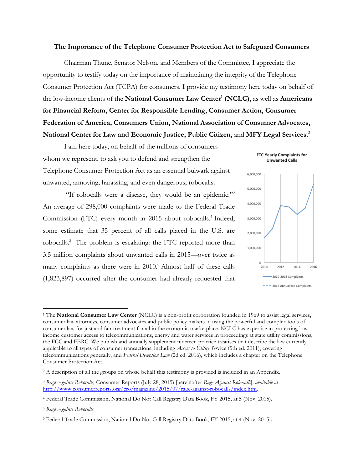#### **The Importance of the Telephone Consumer Protection Act to Safeguard Consumers**

Chairman Thune, Senator Nelson, and Members of the Committee, I appreciate the opportunity to testify today on the importance of maintaining the integrity of the Telephone Consumer Protection Act (TCPA) for consumers. I provide my testimony here today on behalf of the low-income clients of the **National Consumer Law Center1 (NCLC)**, as well as **Americans for Financial Reform, Center for Responsible Lending, Consumer Action, Consumer Federation of America, Consumers Union, National Association of Consumer Advocates, National Center for Law and Economic Justice, Public Citizen,** and **MFY Legal Services.**<sup>2</sup>

I am here today, on behalf of the millions of consumers whom we represent, to ask you to defend and strengthen the Telephone Consumer Protection Act as an essential bulwark against unwanted, annoying, harassing, and even dangerous, robocalls.

"If robocalls were a disease, they would be an epidemic."3 An average of 298,000 complaints were made to the Federal Trade Commission (FTC) every month in 2015 about robocalls.<sup>4</sup> Indeed, some estimate that 35 percent of all calls placed in the U.S. are robocalls.<sup>5</sup> The problem is escalating: the FTC reported more than 3.5 million complaints about unwanted calls in 2015—over twice as many complaints as there were in 2010. <sup>6</sup> Almost half of these calls (1,823,897) occurred after the consumer had already requested that



<sup>&</sup>lt;sup>1</sup> The **National Consumer Law Center** (NCLC) is a non-profit corporation founded in 1969 to assist legal services, consumer law attorneys, consumer advocates and public policy makers in using the powerful and complex tools of consumer law for just and fair treatment for all in the economic marketplace. NCLC has expertise in protecting lowincome customer access to telecommunications, energy and water services in proceedings at state utility commissions, the FCC and FERC. We publish and annually supplement nineteen practice treatises that describe the law currently applicable to all types of consumer transactions, including *Access to Utility Ser*vice (5th ed. 2011), covering telecommunications generally, and *Federal Deception Law* (2d ed. 2016), which includes a chapter on the Telephone Consumer Protection Act.

<sup>&</sup>lt;sup>2</sup> A description of all the groups on whose behalf this testimony is provided is included in an Appendix.

<sup>3</sup> *Rage Against Robocalls,* Consumer Reports (July 28, 2015) [hereinafter *Rage Against Robocalls*]*, available at*  http://www.consumerreports.org/cro/magazine/2015/07/rage-against-robocalls/index.htm.

<sup>4</sup> Federal Trade Commission, National Do Not Call Registry Data Book, FY 2015, at 5 (Nov. 2015).

<sup>5</sup> *Rage Against Robocalls*.

<sup>6</sup> Federal Trade Commission, National Do Not Call Registry Data Book, FY 2015, at 4 (Nov. 2015).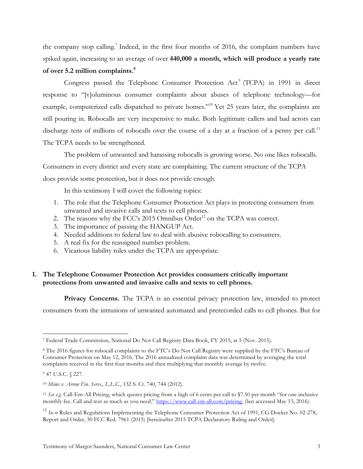the company stop calling.7 Indeed, in the first four months of 2016, the complaint numbers have spiked again, increasing to an average of over **440,000 a month, which will produce a yearly rate of over 5.2 million complaints. 8**

Congress passed the Telephone Consumer Protection Act<sup>9</sup> (TCPA) in 1991 in direct response to "[v]oluminous consumer complaints about abuses of telephone technology—for example, computerized calls dispatched to private homes.<sup>"10</sup> Yet 25 years later, the complaints are still pouring in. Robocalls are very inexpensive to make. Both legitimate callers and bad actors can discharge tens of millions of robocalls over the course of a day at a fraction of a penny per call.<sup>11</sup> The TCPA needs to be strengthened.

The problem of unwanted and harassing robocalls is growing worse. No one likes robocalls. Consumers in every district and every state are complaining. The current structure of the TCPA does provide some protection, but it does not provide enough.

In this testimony I will cover the following topics:

- 1. The role that the Telephone Consumer Protection Act plays in protecting consumers from unwanted and invasive calls and texts to cell phones.
- 2. The reasons why the FCC's  $2015$  Omnibus Order<sup>12</sup> on the TCPA was correct.
- 3. The importance of passing the HANGUP Act.
- 4. Needed additions to federal law to deal with abusive robocalling to consumers.
- 5. A real fix for the reassigned number problem.
- 6. Vicarious liability rules under the TCPA are appropriate.

## **1. The Telephone Consumer Protection Act provides consumers critically important protections from unwanted and invasive calls and texts to cell phones.**

**Privacy Concerns.** The TCPA is an essential privacy protection law, intended to protect consumers from the intrusions of unwanted automated and prerecorded calls to cell phones. But for

 <sup>7</sup> Federal Trade Commission, National Do Not Call Registry Data Book, FY 2015, at 5 (Nov. 2015).

<sup>8</sup> The 2016 figures for robocall complaints to the FTC's Do Not Call Registry were supplied by the FTC's Bureau of Consumer Protection on May 12, 2016. The 2016 annualized complaint data was determined by averaging the total complaints received in the first four months and then multiplying that monthly average by twelve.

<sup>9</sup> 47 U.S.C. § 227.

<sup>10</sup> *Mims v. Arrow Fin. Servs., L.L.C.*, 132 S. Ct. 740, 744 (2012).

<sup>11</sup> *See e.g.* Call-Em-All Pricing, which quotes pricing from a high of 6 cents per call to \$7.50 per month "for one inclusive monthly fee. Call and text as much as you need." https://www.call-em-all.com/pricing, (last accessed May 13, 2016).

<sup>&</sup>lt;sup>12</sup> *In re* Rules and Regulations Implementing the Telephone Consumer Protection Act of 1991, CG Docket No. 02-278, Report and Order, 30 FCC Rcd. 7961 (2015) [hereinafter 2015 TCPA Declaratory Ruling and Order].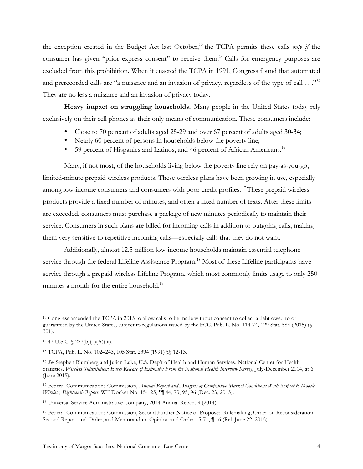the exception created in the Budget Act last October, <sup>13</sup> the TCPA permits these calls *only if* the consumer has given "prior express consent" to receive them.<sup>14</sup> Calls for emergency purposes are excluded from this prohibition. When it enacted the TCPA in 1991, Congress found that automated and prerecorded calls are "a nuisance and an invasion of privacy, regardless of the type of call . . ."*<sup>15</sup>* They are no less a nuisance and an invasion of privacy today.

**Heavy impact on struggling households.** Many people in the United States today rely exclusively on their cell phones as their only means of communication. These consumers include:

- Close to 70 percent of adults aged 25-29 and over 67 percent of adults aged 30-34;
- Nearly 60 percent of persons in households below the poverty line;
- 59 percent of Hispanics and Latinos, and 46 percent of African Americans.<sup>16</sup>

Many, if not most, of the households living below the poverty line rely on pay-as-you-go, limited-minute prepaid wireless products. These wireless plans have been growing in use, especially among low-income consumers and consumers with poor credit profiles.<sup>17</sup>These prepaid wireless products provide a fixed number of minutes, and often a fixed number of texts. After these limits are exceeded, consumers must purchase a package of new minutes periodically to maintain their service. Consumers in such plans are billed for incoming calls in addition to outgoing calls, making them very sensitive to repetitive incoming calls—especially calls that they do not want.

Additionally, almost 12.5 million low-income households maintain essential telephone service through the federal Lifeline Assistance Program.<sup>18</sup> Most of these Lifeline participants have service through a prepaid wireless Lifeline Program, which most commonly limits usage to only 250 minutes a month for the entire household.<sup>19</sup>

 <sup>13</sup> Congress amended the TCPA in 2015 to allow calls to be made without consent to collect a debt owed to or guaranteed by the United States, subject to regulations issued by the FCC. Pub. L. No. 114-74, 129 Stat. 584 (2015) (§ 301).

 $14$  47 U.S.C.  $\frac{227(b)(1)(A)(iii)}{227(b)}$ .

<sup>15</sup> TCPA, Pub. L. No. 102–243, 105 Stat. 2394 (1991) §§ 12-13.

<sup>16</sup> *See* Stephen Blumberg and Julian Luke, U.S. Dep't of Health and Human Services, National Center for Health Statistics, *Wireless Substitution: Early Release of Estimates From the National Health Interview Survey*, July-December 2014, at 6 (June 2015).

<sup>17</sup> Federal Communications Commission, *Annual Report and Analysis of Competitive Market Conditions With Respect to Mobile Wireless, Eighteenth Report*, WT Docket No. 15-125, ¶¶ 44, 73, 95, 96 (Dec. 23, 2015).

<sup>18</sup> Universal Service Administrative Company, 2014 Annual Report 9 (2014).

<sup>19</sup> Federal Communications Commission, Second Further Notice of Proposed Rulemaking, Order on Reconsideration, Second Report and Order, and Memorandum Opinion and Order 15-71,  $\parallel$  16 (Rel. June 22, 2015).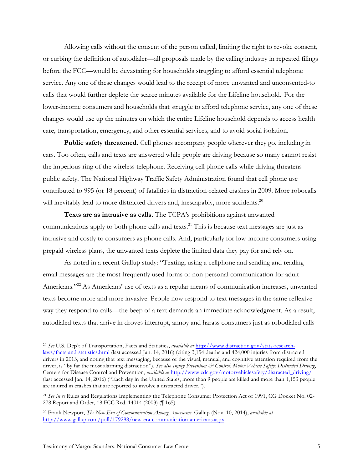Allowing calls without the consent of the person called, limiting the right to revoke consent, or curbing the definition of autodialer—all proposals made by the calling industry in repeated filings before the FCC—would be devastating for households struggling to afford essential telephone service. Any one of these changes would lead to the receipt of more unwanted and unconsented-to calls that would further deplete the scarce minutes available for the Lifeline household. For the lower-income consumers and households that struggle to afford telephone service, any one of these changes would use up the minutes on which the entire Lifeline household depends to access health care, transportation, emergency, and other essential services, and to avoid social isolation.

**Public safety threatened.** Cell phones accompany people wherever they go, including in cars. Too often, calls and texts are answered while people are driving because so many cannot resist the imperious ring of the wireless telephone. Receiving cell phone calls while driving threatens public safety. The National Highway Traffic Safety Administration found that cell phone use contributed to 995 (or 18 percent) of fatalities in distraction-related crashes in 2009. More robocalls will inevitably lead to more distracted drivers and, inescapably, more accidents.<sup>20</sup>

**Texts are as intrusive as calls.** The TCPA's prohibitions against unwanted communications apply to both phone calls and texts.<sup>21</sup> This is because text messages are just as intrusive and costly to consumers as phone calls. And, particularly for low-income consumers using prepaid wireless plans, the unwanted texts deplete the limited data they pay for and rely on.

As noted in a recent Gallup study: "Texting, using a cellphone and sending and reading email messages are the most frequently used forms of non-personal communication for adult Americans."<sup>22</sup> As Americans' use of texts as a regular means of communication increases, unwanted texts become more and more invasive. People now respond to text messages in the same reflexive way they respond to calls—the beep of a text demands an immediate acknowledgment. As a result, autodialed texts that arrive in droves interrupt, annoy and harass consumers just as robodialed calls

 <sup>20</sup> *See* U.S. Dep't of Transportation, Facts and Statistics, *available at* http://www.distraction.gov/stats-researchlaws/facts-and-statistics.html (last accessed Jan. 14, 2016) (citing 3,154 deaths and 424,000 injuries from distracted drivers in 2013, and noting that text messaging, because of the visual, manual, and cognitive attention required from the driver, is "by far the most alarming distraction"). See also Injury Prevention & Control: Motor Vehicle Safety: Distracted Driving, Centers for Disease Control and Prevention, *available at* http://www.cdc.gov/motorvehiclesafety/distracted\_driving/ (last accessed Jan. 14, 2016) ("Each day in the United States, more than 9 people are killed and more than 1,153 people are injured in crashes that are reported to involve a distracted driver.").

<sup>21</sup> *See In re* Rules and Regulations Implementing the Telephone Consumer Protection Act of 1991, CG Docket No. 02- 278 Report and Order, 18 FCC Rcd. 14014 (2003) (¶ 165).

<sup>22</sup> Frank Newport, *The New Era of Communication Among Americans,* Gallup (Nov. 10, 2014), *available at* http://www.gallup.com/poll/179288/new-era-communication-americans.aspx.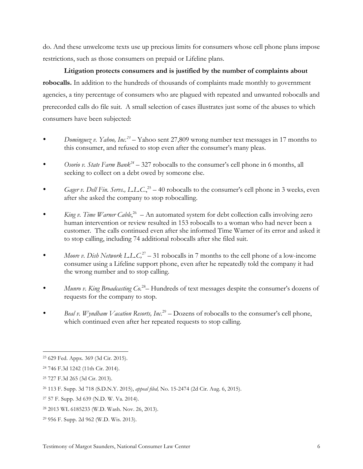do. And these unwelcome texts use up precious limits for consumers whose cell phone plans impose restrictions, such as those consumers on prepaid or Lifeline plans.

**Litigation protects consumers and is justified by the number of complaints about robocalls.** In addition to the hundreds of thousands of complaints made monthly to government agencies, a tiny percentage of consumers who are plagued with repeated and unwanted robocalls and prerecorded calls do file suit. A small selection of cases illustrates just some of the abuses to which consumers have been subjected:

- *Dominguez v. Yahoo, Inc.*<sup>23</sup> Yahoo sent 27,809 wrong number text messages in 17 months to this consumer, and refused to stop even after the consumer's many pleas.
- *Osorio v. State Farm Bank24* 327 robocalls to the consumer's cell phone in 6 months, all seeking to collect on a debt owed by someone else.
- *Gager v. Dell Fin. Servs., L.L.C.*<sup>25</sup> 40 robocalls to the consumer's cell phone in 3 weeks, even after she asked the company to stop robocalling.
- *King v. Time Warner Cable*,<sup>26</sup> An automated system for debt collection calls involving zero human intervention or review resulted in 153 robocalls to a woman who had never been a customer. The calls continued even after she informed Time Warner of its error and asked it to stop calling, including 74 additional robocalls after she filed suit.
- *Moore v. Dish Network L.L.C*,<sup>27</sup> 31 robocalls in 7 months to the cell phone of a low-income consumer using a Lifeline support phone, even after he repeatedly told the company it had the wrong number and to stop calling.
- *Munro v. King Broadcasting Co.*<sup>28</sup> Hundreds of text messages despite the consumer's dozens of requests for the company to stop.
- *Beal v. Wyndham Vacation Resorts, Inc.*<sup>29</sup> Dozens of robocalls to the consumer's cell phone, which continued even after her repeated requests to stop calling.

 <sup>23</sup> 629 Fed. Appx. <sup>369</sup> (3d Cir. 2015).

<sup>24</sup> 746 F.3d 1242 (11th Cir. 2014).

<sup>25</sup> 727 F.3d 265 (3d Cir. 2013).

<sup>26</sup> 113 F. Supp. 3d 718 (S.D.N.Y. 2015), *appeal filed,* No. 15-2474 (2d Cir. Aug. 6, 2015).

<sup>27</sup> 57 F. Supp. 3d 639 (N.D. W. Va. 2014).

<sup>28</sup> 2013 WL 6185233 (W.D. Wash. Nov. 26, 2013).

<sup>29</sup> 956 F. Supp. 2d 962 (W.D. Wis. 2013).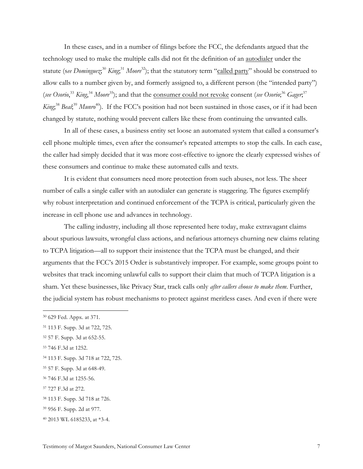In these cases, and in a number of filings before the FCC, the defendants argued that the technology used to make the multiple calls did not fit the definition of an autodialer under the statute (see *Dominguez*<sup>30</sup> *King*,<sup>31</sup> *Moore*<sup>32</sup>); that the statutory term "called party" should be construed to allow calls to a number given by, and formerly assigned to, a different person (the "intended party") (see Osorio,<sup>33</sup> *King*,<sup>34</sup> *Moore*<sup>35</sup>); and that the consumer could not revoke consent (see Osorio;<sup>36</sup> Gager,<sup>37</sup> King,<sup>38</sup> Beal;<sup>39</sup> Munro<sup>40</sup>). If the FCC's position had not been sustained in those cases, or if it had been changed by statute, nothing would prevent callers like these from continuing the unwanted calls.

In all of these cases, a business entity set loose an automated system that called a consumer's cell phone multiple times, even after the consumer's repeated attempts to stop the calls. In each case, the caller had simply decided that it was more cost-effective to ignore the clearly expressed wishes of these consumers and continue to make these automated calls and texts.

It is evident that consumers need more protection from such abuses, not less. The sheer number of calls a single caller with an autodialer can generate is staggering. The figures exemplify why robust interpretation and continued enforcement of the TCPA is critical, particularly given the increase in cell phone use and advances in technology.

The calling industry, including all those represented here today, make extravagant claims about spurious lawsuits, wrongful class actions, and nefarious attorneys churning new claims relating to TCPA litigation—all to support their insistence that the TCPA must be changed, and their arguments that the FCC's 2015 Order is substantively improper. For example, some groups point to websites that track incoming unlawful calls to support their claim that much of TCPA litigation is a sham. Yet these businesses, like Privacy Star, track calls only *after callers choose to make them*. Further, the judicial system has robust mechanisms to protect against meritless cases. And even if there were

 <sup>30</sup> <sup>629</sup> Fed. Appx. at 371.

<sup>31</sup> 113 F. Supp. 3d at 722, 725.

<sup>32</sup> 57 F. Supp. 3d at 652-55.

<sup>33</sup> 746 F.3d at 1252.

<sup>34</sup> 113 F. Supp. 3d 718 at 722, 725.

<sup>35</sup> 57 F. Supp. 3d at 648-49.

<sup>36</sup> 746 F.3d at 1255-56.

<sup>37</sup> 727 F.3d at 272.

<sup>38</sup> 113 F. Supp. 3d 718 at 726.

<sup>39</sup> 956 F. Supp. 2d at 977.

<sup>40</sup> 2013 WL 6185233, at \*3-4.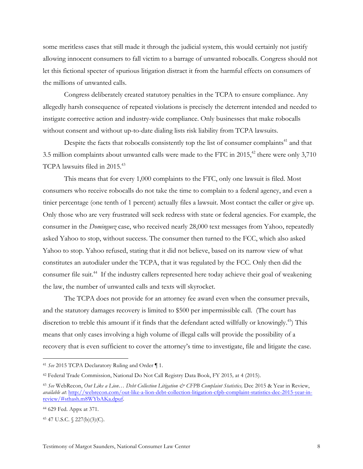some meritless cases that still made it through the judicial system, this would certainly not justify allowing innocent consumers to fall victim to a barrage of unwanted robocalls. Congress should not let this fictional specter of spurious litigation distract it from the harmful effects on consumers of the millions of unwanted calls.

Congress deliberately created statutory penalties in the TCPA to ensure compliance. Any allegedly harsh consequence of repeated violations is precisely the deterrent intended and needed to instigate corrective action and industry-wide compliance. Only businesses that make robocalls without consent and without up-to-date dialing lists risk liability from TCPA lawsuits.

Despite the facts that robocalls consistently top the list of consumer complaints $41$  and that 3.5 million complaints about unwanted calls were made to the FTC in  $2015$ ,<sup>42</sup> there were only 3,710 TCPA lawsuits filed in 2015.<sup>43</sup>

This means that for every 1,000 complaints to the FTC, only one lawsuit is filed. Most consumers who receive robocalls do not take the time to complain to a federal agency, and even a tinier percentage (one tenth of 1 percent) actually files a lawsuit. Most contact the caller or give up. Only those who are very frustrated will seek redress with state or federal agencies. For example, the consumer in the *Dominguez* case, who received nearly 28,000 text messages from Yahoo, repeatedly asked Yahoo to stop, without success. The consumer then turned to the FCC, which also asked Yahoo to stop. Yahoo refused, stating that it did not believe, based on its narrow view of what constitutes an autodialer under the TCPA, that it was regulated by the FCC. Only then did the consumer file suit.<sup>44</sup> If the industry callers represented here today achieve their goal of weakening the law, the number of unwanted calls and texts will skyrocket.

The TCPA does not provide for an attorney fee award even when the consumer prevails, and the statutory damages recovery is limited to \$500 per impermissible call. (The court has discretion to treble this amount if it finds that the defendant acted willfully or knowingly.<sup>45</sup>) This means that only cases involving a high volume of illegal calls will provide the possibility of a recovery that is even sufficient to cover the attorney's time to investigate, file and litigate the case.

 <sup>41</sup> *See* 2015 TCPA Declaratory Ruling and Order ¶ 1.

<sup>42</sup> Federal Trade Commission, National Do Not Call Registry Data Book, FY 2015*,* at 4 (2015).

<sup>43</sup> *See* WebRecon, *Out Like a Lion… Debt Collection Litigation & CFPB Complaint Statistics,* Dec 2015 & Year in Review, *available at*: http://webrecon.com/out-like-a-lion-debt-collection-litigation-cfpb-complaint-statistics-dec-2015-year-inreview/#sthash.m8WYbAKa.dpuf.

<sup>44</sup> 629 Fed. Appx at 371.

<sup>45</sup> 47 U.S.C. § 227(b)(3)(C).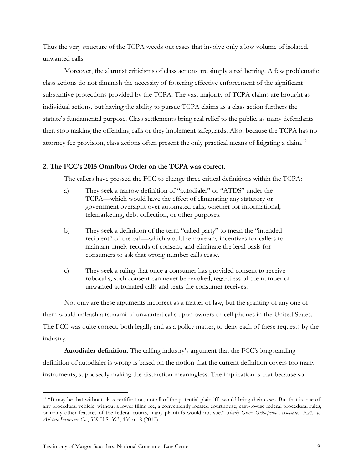Thus the very structure of the TCPA weeds out cases that involve only a low volume of isolated, unwanted calls.

Moreover, the alarmist criticisms of class actions are simply a red herring. A few problematic class actions do not diminish the necessity of fostering effective enforcement of the significant substantive protections provided by the TCPA. The vast majority of TCPA claims are brought as individual actions, but having the ability to pursue TCPA claims as a class action furthers the statute's fundamental purpose. Class settlements bring real relief to the public, as many defendants then stop making the offending calls or they implement safeguards. Also, because the TCPA has no attorney fee provision, class actions often present the only practical means of litigating a claim.<sup>46</sup>

### **2. The FCC's 2015 Omnibus Order on the TCPA was correct.**

The callers have pressed the FCC to change three critical definitions within the TCPA:

- a) They seek a narrow definition of "autodialer" or "ATDS" under the TCPA—which would have the effect of eliminating any statutory or government oversight over automated calls, whether for informational, telemarketing, debt collection, or other purposes.
- b) They seek a definition of the term "called party" to mean the "intended recipient" of the call—which would remove any incentives for callers to maintain timely records of consent, and eliminate the legal basis for consumers to ask that wrong number calls cease.
- c) They seek a ruling that once a consumer has provided consent to receive robocalls, such consent can never be revoked, regardless of the number of unwanted automated calls and texts the consumer receives.

Not only are these arguments incorrect as a matter of law, but the granting of any one of them would unleash a tsunami of unwanted calls upon owners of cell phones in the United States. The FCC was quite correct, both legally and as a policy matter, to deny each of these requests by the industry.

**Autodialer definition.** The calling industry's argument that the FCC's longstanding definition of autodialer is wrong is based on the notion that the current definition covers too many instruments, supposedly making the distinction meaningless. The implication is that because so

 <sup>46</sup> "It may be that without class certification, not all of the potential plaintiffs would bring their cases. But that is true of any procedural vehicle; without a lower filing fee, a conveniently located courthouse, easy-to-use federal procedural rules, or many other features of the federal courts, many plaintiffs would not sue." *Shady Grove Orthopedic Associates, P.A., v. Allstate Insurance Co.*, 559 U.S. 393, 435 n.18 (2010).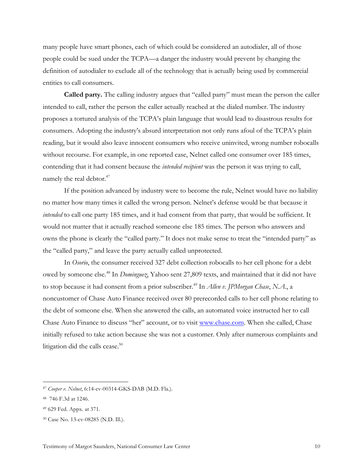many people have smart phones, each of which could be considered an autodialer, all of those people could be sued under the TCPA—a danger the industry would prevent by changing the definition of autodialer to exclude all of the technology that is actually being used by commercial entities to call consumers.

**Called party.** The calling industry argues that "called party" must mean the person the caller intended to call, rather the person the caller actually reached at the dialed number. The industry proposes a tortured analysis of the TCPA's plain language that would lead to disastrous results for consumers. Adopting the industry's absurd interpretation not only runs afoul of the TCPA's plain reading, but it would also leave innocent consumers who receive uninvited, wrong number robocalls without recourse. For example, in one reported case, Nelnet called one consumer over 185 times, contending that it had consent because the *intended recipient* was the person it was trying to call, namely the real debtor.<sup>47</sup>

If the position advanced by industry were to become the rule, Nelnet would have no liability no matter how many times it called the wrong person. Nelnet's defense would be that because it *intended* to call one party 185 times, and it had consent from that party, that would be sufficient. It would not matter that it actually reached someone else 185 times. The person who answers and owns the phone is clearly the "called party." It does not make sense to treat the "intended party" as the "called party," and leave the party actually called unprotected.

In *Osorio*, the consumer received 327 debt collection robocalls to her cell phone for a debt owed by someone else. <sup>48</sup> In *Dominguez*, Yahoo sent 27,809 texts, and maintained that it did not have to stop because it had consent from a prior subscriber.<sup>49</sup> In *Allen v. JPMorgan Chase*, *N.A.*, a noncustomer of Chase Auto Finance received over 80 prerecorded calls to her cell phone relating to the debt of someone else. When she answered the calls, an automated voice instructed her to call Chase Auto Finance to discuss "her" account, or to visit www.chase.com. When she called, Chase initially refused to take action because she was not a customer. Only after numerous complaints and litigation did the calls cease. $50$ 

 <sup>47</sup> *Cooper v. Nelnet*, 6:14-cv-00314-GKS-DAB (M.D. Fla.).

<sup>48</sup> 746 F.3d at 1246.

<sup>49</sup> 629 Fed. Appx. at 371.

<sup>50</sup> Case No. 13-cv-08285 (N.D. Ill.).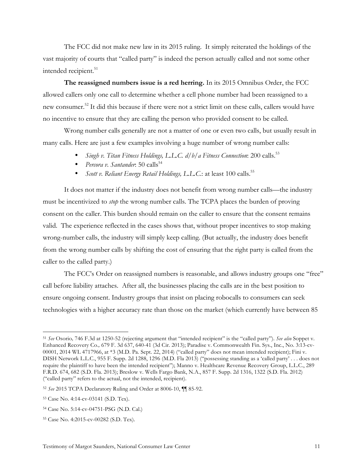The FCC did not make new law in its 2015 ruling. It simply reiterated the holdings of the vast majority of courts that "called party" is indeed the person actually called and not some other intended recipient.<sup>51</sup>

**The reassigned numbers issue is a red herring.** In its 2015 Omnibus Order, the FCC allowed callers only one call to determine whether a cell phone number had been reassigned to a new consumer.52 It did this because if there were not a strict limit on these calls, callers would have no incentive to ensure that they are calling the person who provided consent to be called.

Wrong number calls generally are not a matter of one or even two calls, but usually result in many calls. Here are just a few examples involving a huge number of wrong number calls:

- *Singh v. Titan Fitness Holdings, L.L.C. d/b/a Fitness Connection*: 200 calls. 53
- *Percora v. Santander*: 50 calls<sup>54</sup>
- *Scott v. Reliant Energy Retail Holdings, L.L.C*.: at least 100 calls. 55

It does not matter if the industry does not benefit from wrong number calls—the industry must be incentivized to *stop* the wrong number calls. The TCPA places the burden of proving consent on the caller. This burden should remain on the caller to ensure that the consent remains valid. The experience reflected in the cases shows that, without proper incentives to stop making wrong-number calls, the industry will simply keep calling. (But actually, the industry does benefit from the wrong number calls by shifting the cost of ensuring that the right party is called from the caller to the called party.)

The FCC's Order on reassigned numbers is reasonable, and allows industry groups one "free" call before liability attaches. After all, the businesses placing the calls are in the best position to ensure ongoing consent. Industry groups that insist on placing robocalls to consumers can seek technologies with a higher accuracy rate than those on the market (which currently have between 85

 <sup>51</sup> *See* Osorio*,* 746 F.3d at 1250-52 (rejecting argument that "intended recipient" is the "called party"). *See also* Soppet v. Enhanced Recovery Co.*,* 679 F. 3d 637, 640-41 (3d Cir. 2013); Paradise v. Commonwealth Fin. Sys., Inc., No. 3:13-cv-00001, 2014 WL 4717966, at \*3 (M.D. Pa. Sept. 22, 2014) ("called party" does not mean intended recipient); Fini v. DISH Network L.L.C., 955 F. Supp. 2d 1288, 1296 (M.D. Fla 2013) ("possessing standing as a 'called party' . . . does not require the plaintiff to have been the intended recipient"); Manno v. Healthcare Revenue Recovery Group, L.L.C., 289 F.R.D. 674, 682 (S.D. Fla. 2013); Breslow v. Wells Fargo Bank, N.A., 857 F. Supp. 2d 1316, 1322 (S.D. Fla. 2012) ("called party" refers to the actual, not the intended, recipient).

<sup>52</sup> *See* 2015 TCPA Declaratory Ruling and Order at 8006-10, ¶¶ 85-92.

<sup>53</sup> Case No. 4:14-cv-03141 (S.D. Tex).

<sup>54</sup> Case No. 5:14-cv-04751-PSG (N.D. Cal.)

<sup>55</sup> Case No. 4:2015-cv-00282 (S.D. Tex).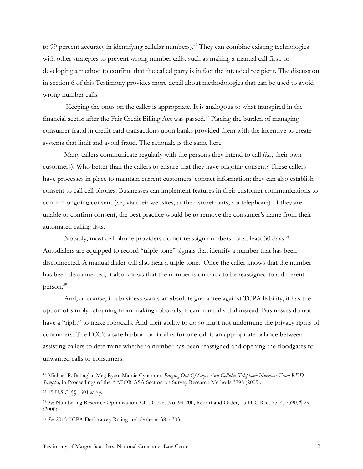to 99 percent accuracy in identifying cellular numbers).<sup>56</sup> They can combine existing technologies with other strategies to prevent wrong number calls, such as making a manual call first, or developing a method to confirm that the called party is in fact the intended recipient. The discussion in section 6 of this Testimony provides more detail about methodologies that can be used to avoid wrong number calls.

Keeping the onus on the caller is appropriate. It is analogous to what transpired in the financial sector after the Fair Credit Billing Act was passed.<sup>57</sup> Placing the burden of managing consumer fraud in credit card transactions upon banks provided them with the incentive to create systems that limit and avoid fraud. The rationale is the same here.

Many callers communicate regularly with the persons they intend to call (*i.e.*, their own customers). Who better than the callers to ensure that they have ongoing consent? These callers have processes in place to maintain current customers' contact information; they can also establish consent to call cell phones. Businesses can implement features in their customer communications to confirm ongoing consent (*i.e.*, via their websites, at their storefronts, via telephone). If they are unable to confirm consent, the best practice would be to remove the consumer's name from their automated calling lists.

Notably, most cell phone providers do not reassign numbers for at least 30 days.<sup>58</sup> Autodialers are equipped to record "triple-tone" signals that identify a number that has been disconnected. A manual dialer will also hear a triple-tone. Once the caller knows that the number has been disconnected, it also knows that the number is on track to be reassigned to a different person.59

And, of course, if a business wants an absolute guarantee against TCPA liability, it has the option of simply refraining from making robocalls; it can manually dial instead. Businesses do not have a "right" to make robocalls. And their ability to do so must not undermine the privacy rights of consumers. The FCC's a safe harbor for liability for one call is an appropriate balance between assisting callers to determine whether a number has been reassigned and opening the floodgates to unwanted calls to consumers.

 <sup>56</sup> Michael P. Battaglia, Meg Ryan, Marcie Cynamon, *Purging Out-Of-Scope And Cellular Telephone Numbers From RDD Samples,* in Proceedings of the AAPOR-ASA Section on Survey Research Methods 3798 (2005).

<sup>57</sup> 15 U.S.C. §§ 1601 *et seq.*

<sup>58</sup> *See* Numbering Resource Optimization, CC Docket No. 99-200, Report and Order, 15 FCC Rcd. 7574, 7590, ¶ 29  $(2000).$ 

<sup>59</sup> *See* 2015 TCPA Declaratory Ruling and Order at 38 n.303.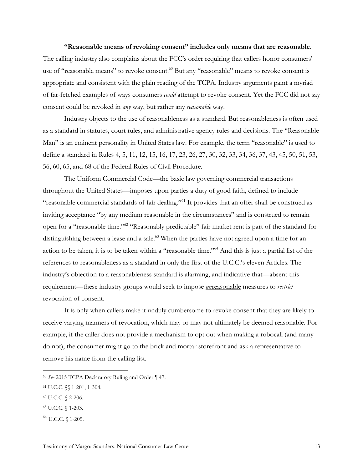**"Reasonable means of revoking consent" includes only means that are reasonable**. The calling industry also complains about the FCC's order requiring that callers honor consumers' use of "reasonable means" to revoke consent.<sup>60</sup> But any "reasonable" means to revoke consent is appropriate and consistent with the plain reading of the TCPA. Industry arguments paint a myriad of far-fetched examples of ways consumers *could* attempt to revoke consent. Yet the FCC did not say consent could be revoked in *any* way, but rather any *reasonable* way.

Industry objects to the use of reasonableness as a standard. But reasonableness is often used as a standard in statutes, court rules, and administrative agency rules and decisions. The "Reasonable Man" is an eminent personality in United States law. For example, the term "reasonable" is used to define a standard in Rules 4, 5, 11, 12, 15, 16, 17, 23, 26, 27, 30, 32, 33, 34, 36, 37, 43, 45, 50, 51, 53, 56, 60, 65, and 68 of the Federal Rules of Civil Procedure.

The Uniform Commercial Code—the basic law governing commercial transactions throughout the United States—imposes upon parties a duty of good faith, defined to include "reasonable commercial standards of fair dealing."61 It provides that an offer shall be construed as inviting acceptance "by any medium reasonable in the circumstances" and is construed to remain open for a "reasonable time."62 "Reasonably predictable" fair market rent is part of the standard for distinguishing between a lease and a sale.<sup>63</sup> When the parties have not agreed upon a time for an action to be taken, it is to be taken within a "reasonable time."64 And this is just a partial list of the references to reasonableness as a standard in only the first of the U.C.C.'s eleven Articles. The industry's objection to a reasonableness standard is alarming, and indicative that—absent this requirement—these industry groups would seek to impose *un*reasonable measures to *restrict* revocation of consent.

It is only when callers make it unduly cumbersome to revoke consent that they are likely to receive varying manners of revocation, which may or may not ultimately be deemed reasonable. For example, if the caller does not provide a mechanism to opt out when making a robocall (and many do not), the consumer might go to the brick and mortar storefront and ask a representative to remove his name from the calling list.

 <sup>60</sup> *See* 2015 TCPA Declaratory Ruling and Order ¶ 47.

<sup>61</sup> U.C.C. §§ 1-201, 1-304.

<sup>62</sup> U.C.C. § 2-206.

<sup>63</sup> U.C.C. § 1-203.

<sup>64</sup> U.C.C. § 1-205.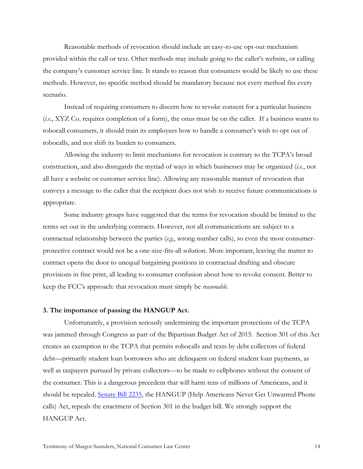Reasonable methods of revocation should include an easy-to-use opt-out mechanism provided within the call or text. Other methods may include going to the caller's website, or calling the company's customer service line. It stands to reason that consumers would be likely to use these methods. However, no specific method should be mandatory because not every method fits every scenario.

Instead of requiring consumers to discern how to revoke consent for a particular business (*i.e.*, XYZ Co. requires completion of a form), the onus must be on the caller. If a business wants to robocall consumers, it should train its employees how to handle a consumer's wish to opt out of robocalls, and not shift its burden to consumers.

Allowing the industry to limit mechanisms for revocation is contrary to the TCPA's broad construction, and also disregards the myriad of ways in which businesses may be organized (*i.e.*, not all have a website or customer service line). Allowing any reasonable manner of revocation that conveys a message to the caller that the recipient does not wish to receive future communications is appropriate.

Some industry groups have suggested that the terms for revocation should be limited to the terms set out in the underlying contracts. However, not all communications are subject to a contractual relationship between the parties (*e.g.*, wrong number calls), so even the most consumerprotective contract would not be a one-size-fits-all solution. More important, leaving the matter to contract opens the door to unequal bargaining positions in contractual drafting and obscure provisions in fine print, all leading to consumer confusion about how to revoke consent. Better to keep the FCC's approach: that revocation must simply be *reasonable.* 

#### **3. The importance of passing the HANGUP Act.**

Unfortunately, a provision seriously undermining the important protections of the TCPA was jammed through Congress as part of the Bipartisan Budget Act of 2015. Section 301 of this Act creates an exemption to the TCPA that permits robocalls and texts by debt collectors of federal debt—primarily student loan borrowers who are delinquent on federal student loan payments, as well as taxpayers pursued by private collectors—to be made to cellphones without the consent of the consumer. This is a dangerous precedent that will harm tens of millions of Americans, and it should be repealed. Senate Bill 2235, the HANGUP (Help Americans Never Get Unwanted Phone calls) Act, repeals the enactment of Section 301 in the budget bill. We strongly support the HANGUP Act.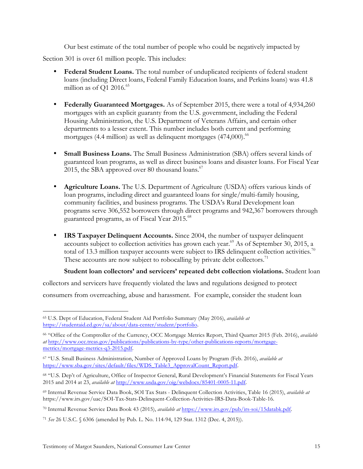Our best estimate of the total number of people who could be negatively impacted by

Section 301 is over 61 million people. This includes:

- **Federal Student Loans.** The total number of unduplicated recipients of federal student loans (including Direct loans, Federal Family Education loans, and Perkins loans) was 41.8 million as of Q1 2016. $65$
- **Federally Guaranteed Mortgages.** As of September 2015, there were a total of 4,934,260 mortgages with an explicit guaranty from the U.S. government, including the Federal Housing Administration, the U.S. Department of Veterans Affairs, and certain other departments to a lesser extent. This number includes both current and performing mortgages (4.4 million) as well as delinquent mortgages (474,000). 66
- **Small Business Loans.** The Small Business Administration (SBA) offers several kinds of guaranteed loan programs, as well as direct business loans and disaster loans. For Fiscal Year 2015, the SBA approved over 80 thousand loans.<sup>67</sup>
- **Agriculture Loans.** The U.S. Department of Agriculture (USDA) offers various kinds of loan programs, including direct and guaranteed loans for single/multi-family housing, community facilities, and business programs. The USDA's Rural Development loan programs serve 306,552 borrowers through direct programs and 942,367 borrowers through guaranteed programs, as of Fiscal Year 2015.68
- **IRS Taxpayer Delinquent Accounts.** Since 2004, the number of taxpayer delinquent accounts subject to collection activities has grown each year.<sup>69</sup> As of September 30, 2015, a total of 13.3 million taxpayer accounts were subject to IRS delinquent collection activities.<sup>70</sup> These accounts are now subject to robocalling by private debt collectors.<sup>71</sup>

# **Student loan collectors' and servicers' repeated debt collection violations.** Student loan

collectors and servicers have frequently violated the laws and regulations designed to protect consumers from overreaching, abuse and harassment. For example, consider the student loan

 <sup>65</sup> U.S. Dept of Education, Federal Student Aid Portfolio Summary (May 2016), *available at* https://studentaid.ed.gov/sa/about/data-center/student/portfolio.

<sup>66</sup> "Office of the Comptroller of the Currency, OCC Mortgage Metrics Report, Third Quarter 2015 (Feb. 2016), *available at* http://www.occ.treas.gov/publications/publications-by-type/other-publications-reports/mortgagemetrics/mortgage-metrics-q3-2015.pdf.

<sup>67</sup> "U.S. Small Business Administration, Number of Approved Loans by Program (Feb. 2016), *available at* https://www.sba.gov/sites/default/files/WDS\_Table3\_ApprovalCount\_Report.pdf.

<sup>68</sup> "U.S. Dep't of Agriculture, Office of Inspector General, Rural Development's Financial Statements for Fiscal Years 2015 and 2014 at 23, *available at* http://www.usda.gov/oig/webdocs/85401-0005-11.pdf.

<sup>69</sup> Internal Revenue Service Data Book, SOI Tax Stats - Delinquent Collection Activities, Table 16 (2015), *available at* https://www.irs.gov/uac/SOI-Tax-Stats-Delinquent-Collection-Activities-IRS-Data-Book-Table-16.

<sup>70</sup> Internal Revenue Service Data Book 43 (2015), *available at* https://www.irs.gov/pub/irs-soi/15databk.pdf.

<sup>71</sup> *See* 26 U.S.C. § 6306 (amended by Pub. L. No. 114-94, 129 Stat. 1312 (Dec. 4, 2015)).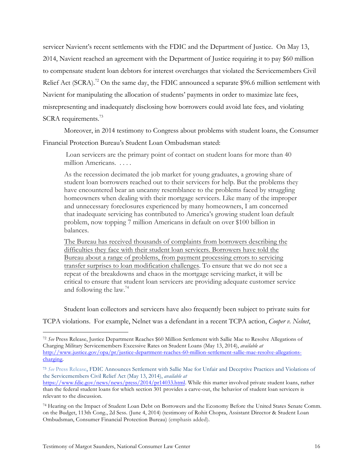servicer Navient's recent settlements with the FDIC and the Department of Justice. On May 13, 2014, Navient reached an agreement with the Department of Justice requiring it to pay \$60 million to compensate student loan debtors for interest overcharges that violated the Servicemembers Civil Relief Act (SCRA).<sup>72</sup> On the same day, the FDIC announced a separate \$96.6 million settlement with Navient for manipulating the allocation of students' payments in order to maximize late fees, misrepresenting and inadequately disclosing how borrowers could avoid late fees, and violating SCRA requirements.<sup>73</sup>

Moreover, in 2014 testimony to Congress about problems with student loans, the Consumer Financial Protection Bureau's Student Loan Ombudsman stated:

Loan servicers are the primary point of contact on student loans for more than 40 million Americans. . . . .

As the recession decimated the job market for young graduates, a growing share of student loan borrowers reached out to their servicers for help. But the problems they have encountered bear an uncanny resemblance to the problems faced by struggling homeowners when dealing with their mortgage servicers. Like many of the improper and unnecessary foreclosures experienced by many homeowners, I am concerned that inadequate servicing has contributed to America's growing student loan default problem, now topping 7 million Americans in default on over \$100 billion in balances.

The Bureau has received thousands of complaints from borrowers describing the difficulties they face with their student loan servicers. Borrowers have told the Bureau about a range of problems, from payment processing errors to servicing transfer surprises to loan modification challenges. To ensure that we do not see a repeat of the breakdowns and chaos in the mortgage servicing market, it will be critical to ensure that student loan servicers are providing adequate customer service and following the law.<sup>74</sup>

Student loan collectors and servicers have also frequently been subject to private suits for

TCPA violations. For example, Nelnet was a defendant in a recent TCPA action, *Cooper v. Nelnet*,

 <sup>72</sup> *See* Press Release, Justice Department Reaches \$60 Million Settlement with Sallie Mae to Resolve Allegations of Charging Military Servicemembers Excessive Rates on Student Loans (May 13, 2014), *available at* http://www.justice.gov/opa/pr/justice-department-reaches-60-million-settlement-sallie-mae-resolve-allegationscharging.

**<sup>73</sup>** *See* Press Release**,** FDIC Announces Settlement with Sallie Mae for Unfair and Deceptive Practices and Violations of the Servicemembers Civil Relief Act (May 13, 2014), *available at* 

https://www.fdic.gov/news/news/press/2014/pr14033.html. While this matter involved private student loans, rather than the federal student loans for which section 301 provides a carve-out, the behavior of student loan servicers is relevant to the discussion.

<sup>74</sup> Hearing on the Impact of Student Loan Debt on Borrowers and the Economy Before the United States Senate Comm. on the Budget, 113th Cong., 2d Sess. (June 4, 2014) (testimony of Rohit Chopra, Assistant Director & Student Loan Ombudsman, Consumer Financial Protection Bureau) (emphasis added).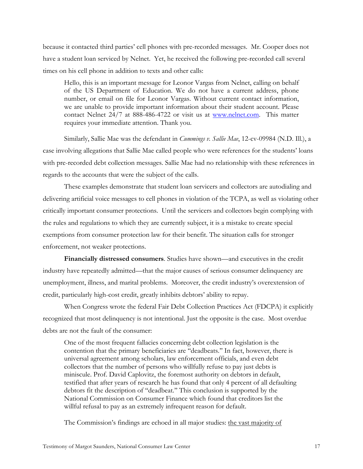because it contacted third parties' cell phones with pre-recorded messages. Mr. Cooper does not have a student loan serviced by Nelnet. Yet, he received the following pre-recorded call several times on his cell phone in addition to texts and other calls:

Hello, this is an important message for Leonor Vargas from Nelnet, calling on behalf of the US Department of Education. We do not have a current address, phone number, or email on file for Leonor Vargas. Without current contact information, we are unable to provide important information about their student account. Please contact Nelnet 24/7 at 888-486-4722 or visit us at www.nelnet.com. This matter requires your immediate attention. Thank you.

Similarly, Sallie Mae was the defendant in *Cummings v. Sallie Mae*, 12-cv-09984 (N.D. Ill.), a case involving allegations that Sallie Mae called people who were references for the students' loans with pre-recorded debt collection messages. Sallie Mae had no relationship with these references in regards to the accounts that were the subject of the calls.

These examples demonstrate that student loan servicers and collectors are autodialing and delivering artificial voice messages to cell phones in violation of the TCPA, as well as violating other critically important consumer protections. Until the servicers and collectors begin complying with the rules and regulations to which they are currently subject, it is a mistake to create special exemptions from consumer protection law for their benefit. The situation calls for stronger enforcement, not weaker protections.

**Financially distressed consumers**. Studies have shown—and executives in the credit industry have repeatedly admitted—that the major causes of serious consumer delinquency are unemployment, illness, and marital problems. Moreover, the credit industry's overextension of credit, particularly high-cost credit, greatly inhibits debtors' ability to repay.

When Congress wrote the federal Fair Debt Collection Practices Act (FDCPA) it explicitly recognized that most delinquency is not intentional. Just the opposite is the case. Most overdue debts are not the fault of the consumer:

One of the most frequent fallacies concerning debt collection legislation is the contention that the primary beneficiaries are ''deadbeats.'' In fact, however, there is universal agreement among scholars, law enforcement officials, and even debt collectors that the number of persons who willfully refuse to pay just debts is miniscule. Prof. David Caplovitz, the foremost authority on debtors in default, testified that after years of research he has found that only 4 percent of all defaulting debtors fit the description of ''deadbeat.'' This conclusion is supported by the National Commission on Consumer Finance which found that creditors list the willful refusal to pay as an extremely infrequent reason for default.

The Commission's findings are echoed in all major studies: the vast majority of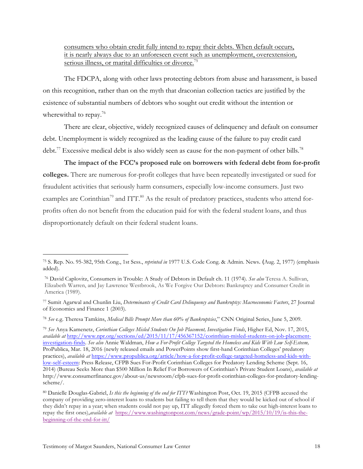consumers who obtain credit fully intend to repay their debts. When default occurs, it is nearly always due to an unforeseen event such as unemployment, overextension, serious illness, or marital difficulties or divorce.<sup>75</sup>

The FDCPA, along with other laws protecting debtors from abuse and harassment, is based on this recognition, rather than on the myth that draconian collection tactics are justified by the existence of substantial numbers of debtors who sought out credit without the intention or wherewithal to repay.<sup>76</sup>

There are clear, objective, widely recognized causes of delinquency and default on consumer debt. Unemployment is widely recognized as the leading cause of the failure to pay credit card debt.<sup>77</sup> Excessive medical debt is also widely seen as cause for the non-payment of other bills.<sup>78</sup>

**The impact of the FCC's proposed rule on borrowers with federal debt from for-profit colleges.** There are numerous for-profit colleges that have been repeatedly investigated or sued for fraudulent activities that seriously harm consumers, especially low-income consumers. Just two examples are Corinthian<sup>79</sup> and ITT.<sup>80</sup> As the result of predatory practices, students who attend forprofits often do not benefit from the education paid for with the federal student loans, and thus disproportionately default on their federal student loans.

 <sup>75</sup> S. Rep. No. 95-382, 95th Cong., 1st Sess., *reprinted in* 1977 U.S. Code Cong. & Admin. News. (Aug. 2, 1977) (emphasis added).

<sup>76</sup> David Caplovitz, Consumers in Trouble: A Study of Debtors in Default ch. 11 (1974). *See also* Teresa A. Sullivan, Elizabeth Warren, and Jay Lawrence Westbrook, As We Forgive Our Debtors: Bankruptcy and Consumer Credit in America (1989).

<sup>77</sup> Sumit Agarwal and Chunlin Liu, *Determinants of Credit Card Delinquency and Bankruptcy: Macroeconomic Factors*, 27 Journal of Economics and Finance 1 (2003).

<sup>78</sup> *See* e.g. Theresa Tamkins, *Medical Bills Prompt More than 60% of Bankruptcies*," CNN Original Series, June 5, 2009.

<sup>79</sup> *See* Anya Kamenetz, *Corinthian Colleges Misled Students On Job Placement, Investigation Finds*, Higher Ed, Nov. 17, 2015, *available at* http://www.npr.org/sections/ed/2015/11/17/456367152/corinthian-misled-students-on-job-placementinvestigation-finds. *See also* Annie Waldman, *How a For-Profit College Targeted the Homeless and Kids With Low Self-Esteem,* ProPublica, Mar. 18, 2016 (newly released emails and PowerPoints show first-hand Corinthian Colleges' predatory practices), *available at* https://www.propublica.org/article/how-a-for-profit-college-targeted-homeless-and-kids-withlow-self-esteem: Press Release, CFPB Sues For-Profit Corinthian Colleges for Predatory Lending Scheme (Sept. 16, 2014) (Bureau Seeks More than \$500 Million In Relief For Borrowers of Corinthian's Private Student Loans), *available at* http://www.consumerfinance.gov/about-us/newsroom/cfpb-sues-for-profit-corinthian-colleges-for-predatory-lendingscheme/.

<sup>80</sup> Danielle Douglas-Gabriel, *Is this the beginning of the end for ITT?* Washington Post, Oct. 19, 2015 (CFPB accused the company of providing zero-interest loans to students but failing to tell them that they would be kicked out of school if they didn't repay in a year; when students could not pay up, ITT allegedly forced them to take out high-interest loans to repay the first ones),*available at* https://www.washingtonpost.com/news/grade-point/wp/2015/10/19/is-this-thebeginning-of-the-end-for-itt/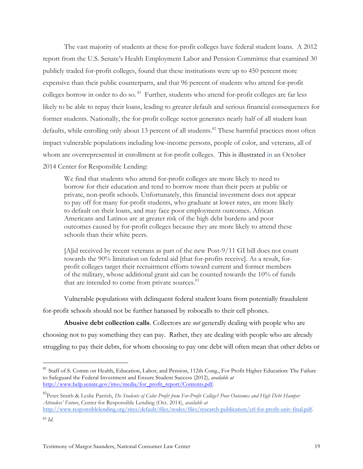The vast majority of students at these for-profit colleges have federal student loans. A 2012 report from the U.S. Senate's Health Employment Labor and Pension Committee that examined 30 publicly traded for-profit colleges, found that these institutions were up to 450 percent more expensive than their public counterparts, and that 96 percent of students who attend for-profit colleges borrow in order to do so. 81 Further, students who attend for-profit colleges are far less likely to be able to repay their loans, leading to greater default and serious financial consequences for former students. Nationally, the for-profit college sector generates nearly half of all student loan defaults, while enrolling only about 13 percent of all students.<sup>82</sup> These harmful practices most often impact vulnerable populations including low-income persons, people of color, and veterans, all of whom are overrepresented in enrollment at for-profit colleges. This is illustrated in an October 2014 Center for Responsible Lending:

We find that students who attend for-profit colleges are more likely to need to borrow for their education and tend to borrow more than their peers at public or private, non-profit schools. Unfortunately, this financial investment does not appear to pay off for many for-profit students, who graduate at lower rates, are more likely to default on their loans, and may face poor employment outcomes. African Americans and Latinos are at greater risk of the high debt burdens and poor outcomes caused by for-profit colleges because they are more likely to attend these schools than their white peers.

[A]id received by recent veterans as part of the new Post-9/11 GI bill does not count towards the 90% limitation on federal aid [that for-profits receive]. As a result, forprofit colleges target their recruitment efforts toward current and former members of the military, whose additional grant aid can be counted towards the 10% of funds that are intended to come from private sources.<sup>83</sup>

Vulnerable populations with delinquent federal student loans from potentially fraudulent for-profit schools should not be further harassed by robocalls to their cell phones.

**Abusive debt collection calls**. Collectors are *not* generally dealing with people who are choosing not to pay something they can pay. Rather, they are dealing with people who are already struggling to pay their debts, for whom choosing to pay one debt will often mean that other debts or

<sup>&</sup>lt;sup>81</sup> Staff of S. Comm on Health, Education, Labor, and Pension, 112th Cong., For Profit Higher Education: The Failure to Safeguard the Federal Investment and Ensure Student Success (2012), *available at*  http://www.help.senate.gov/imo/media/for\_profit\_report/Contents.pdf.

<sup>82</sup>Peter Smith & Leslie Parrish, *Do Students of Color Profit from For-Profit College? Poor Outcomes and High Debt Hamper Attendees' Future*, Center for Responsible Lending (Oct. 2014), *available at*

http://www.responsiblelending.org/sites/default/files/nodes/files/research-publication/crl-for-profit-univ-final.pdf. <sup>83</sup> *Id.*

Testimony of Margot Saunders, National Consumer Law Center 19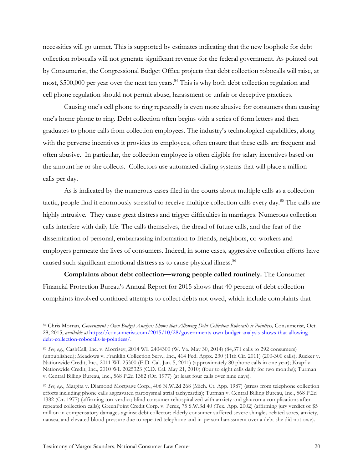necessities will go unmet. This is supported by estimates indicating that the new loophole for debt collection robocalls will not generate significant revenue for the federal government. As pointed out by Consumerist, the Congressional Budget Office projects that debt collection robocalls will raise, at most, \$500,000 per year over the next ten years.<sup>84</sup> This is why both debt collection regulation and cell phone regulation should not permit abuse, harassment or unfair or deceptive practices.

Causing one's cell phone to ring repeatedly is even more abusive for consumers than causing one's home phone to ring*.* Debt collection often begins with a series of form letters and then graduates to phone calls from collection employees. The industry's technological capabilities, along with the perverse incentives it provides its employees, often ensure that these calls are frequent and often abusive. In particular, the collection employee is often eligible for salary incentives based on the amount he or she collects. Collectors use automated dialing systems that will place a million calls per day.

As is indicated by the numerous cases filed in the courts about multiple calls as a collection tactic, people find it enormously stressful to receive multiple collection calls every day.<sup>85</sup> The calls are highly intrusive. They cause great distress and trigger difficulties in marriages. Numerous collection calls interfere with daily life. The calls themselves, the dread of future calls, and the fear of the dissemination of personal, embarrassing information to friends, neighbors, co-workers and employers permeate the lives of consumers. Indeed, in some cases, aggressive collection efforts have caused such significant emotional distress as to cause physical illness.<sup>86</sup>

**Complaints about debt collection—wrong people called routinely.** The Consumer Financial Protection Bureau's Annual Report for 2015 shows that 40 percent of debt collection complaints involved continued attempts to collect debts not owed, which include complaints that

 <sup>84</sup> Chris Morran, *Government's Own Budget Analysis Shows that Allowing Debt Collection Robocalls is Pointless,* Consumerist, Oct. 28, 2015, *available at* https://consumerist.com/2015/10/28/governments-own-budget-analysis-shows-that-allowingdebt-collection-robocalls-is-pointless/.

<sup>85</sup> *See, e.g.,* CashCall, Inc. v. Morrisey, 2014 WL 2404300 (W. Va. May 30, 2014) (84,371 calls to 292 consumers) (unpublished); Meadows v. Franklin Collection Serv., Inc., 414 Fed. Appx. 230 (11th Cir. 2011) (200-300 calls); Rucker v. Nationwide Credit, Inc., 2011 WL 25300 (E.D. Cal. Jan. 5, 2011) (approximately 80 phone calls in one year); Krapf v. Nationwide Credit, Inc., 2010 WL 2025323 (C.D. Cal. May 21, 2010) (four to eight calls daily for two months); Turman v. Central Billing Bureau, Inc., 568 P.2d 1382 (Or. 1977) (at least four calls over nine days).

<sup>86</sup> *See, e.g.,* Margita v. Diamond Mortgage Corp., 406 N.W.2d 268 (Mich. Ct. App. 1987) (stress from telephone collection efforts including phone calls aggravated paroxysmal atrial tachycardia); Turman v. Central Billing Bureau, Inc., 568 P.2d 1382 (Or. 1977) (affirming tort verdict; blind consumer rehospitalized with anxiety and glaucoma complications after repeated collection calls); GreenPoint Credit Corp. v. Perez, 75 S.W.3d 40 (Tex. App. 2002) (affirming jury verdict of \$5 million in compensatory damages against debt collector; elderly consumer suffered severe shingles-related sores, anxiety, nausea, and elevated blood pressure due to repeated telephone and in-person harassment over a debt she did not owe).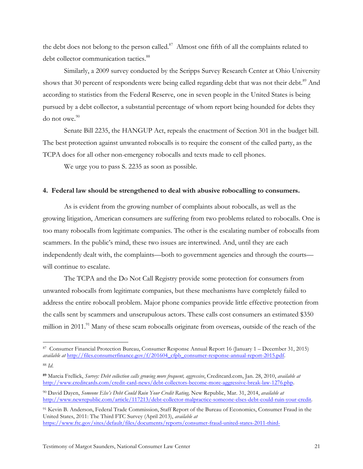the debt does not belong to the person called.<sup>87</sup> Almost one fifth of all the complaints related to debt collector communication tactics.<sup>88</sup>

Similarly, a 2009 survey conducted by the Scripps Survey Research Center at Ohio University shows that 30 percent of respondents were being called regarding debt that was not their debt.<sup>89</sup> And according to statistics from the Federal Reserve, one in seven people in the United States is being pursued by a debt collector, a substantial percentage of whom report being hounded for debts they do not owe.<sup>90</sup>

Senate Bill 2235, the HANGUP Act, repeals the enactment of Section 301 in the budget bill. The best protection against unwanted robocalls is to require the consent of the called party, as the TCPA does for all other non-emergency robocalls and texts made to cell phones.

We urge you to pass S. 2235 as soon as possible.

#### **4. Federal law should be strengthened to deal with abusive robocalling to consumers.**

As is evident from the growing number of complaints about robocalls, as well as the growing litigation, American consumers are suffering from two problems related to robocalls. One is too many robocalls from legitimate companies. The other is the escalating number of robocalls from scammers. In the public's mind, these two issues are intertwined. And, until they are each independently dealt with, the complaints—both to government agencies and through the courts will continue to escalate.

The TCPA and the Do Not Call Registry provide some protection for consumers from unwanted robocalls from legitimate companies, but these mechanisms have completely failed to address the entire robocall problem. Major phone companies provide little effective protection from the calls sent by scammers and unscrupulous actors. These calls cost consumers an estimated \$350 million in 2011.<sup>91</sup> Many of these scam robocalls originate from overseas, outside of the reach of the

 <sup>87</sup> Consumer Financial Protection Bureau, Consumer Response Annual Report <sup>16</sup> (January 1 – December 31, 2015) *available at* http://files.consumerfinance.gov/f/201604\_cfpb\_consumer-response-annual-report-2015.pdf.

<sup>88</sup> *Id*.

**<sup>89</sup>** Marcia Frellick, *Survey: Debt collection calls growing more frequent, aggressive*, Creditcard.com, Jan. 28, 2010, *available at* http://www.creditcards.com/credit-card-news/debt-collectors-become-more-aggressive-break-law-1276.php.

<sup>90</sup> David Dayen, *Someone Else's Debt Could Ruin Your Credit Rating,* New Republic, Mar. 31, 2014, *available at* http://www.newrepublic.com/article/117213/debt-collector-malpractice-someone-elses-debt-could-ruin-your-credit.

<sup>91</sup> Kevin B. Anderson, Federal Trade Commission, Staff Report of the Bureau of Economics, Consumer Fraud in the United States, 2011: The Third FTC Survey (April 2013), *available at* https://www.ftc.gov/sites/default/files/documents/reports/consumer-fraud-united-states-2011-third-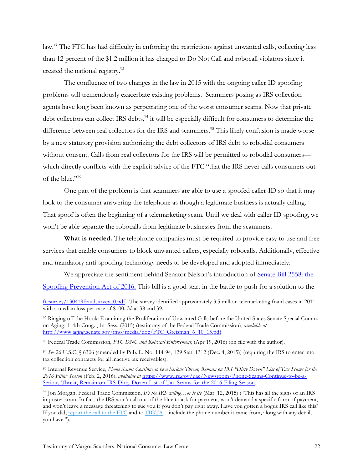law.<sup>92</sup> The FTC has had difficulty in enforcing the restrictions against unwanted calls, collecting less than 12 percent of the \$1.2 million it has charged to Do Not Call and robocall violators since it created the national registry.<sup>93</sup>

The confluence of two changes in the law in 2015 with the ongoing caller ID spoofing problems will tremendously exacerbate existing problems. Scammers posing as IRS collection agents have long been known as perpetrating one of the worst consumer scams. Now that private debt collectors can collect IRS debts,<sup>94</sup> it will be especially difficult for consumers to determine the difference between real collectors for the IRS and scammers.<sup>95</sup> This likely confusion is made worse by a new statutory provision authorizing the debt collectors of IRS debt to robodial consumers without consent. Calls from real collectors for the IRS will be permitted to robodial consumers which directly conflicts with the explicit advice of the FTC "that the IRS never calls consumers out of the blue."<sup>96</sup>

One part of the problem is that scammers are able to use a spoofed caller-ID so that it may look to the consumer answering the telephone as though a legitimate business is actually calling. That spoof is often the beginning of a telemarketing scam. Until we deal with caller ID spoofing, we won't be able separate the robocalls from legitimate businesses from the scammers.

**What is needed.** The telephone companies must be required to provide easy to use and free services that enable consumers to block unwanted callers, especially robocalls. Additionally, effective and mandatory anti-spoofing technology needs to be developed and adopted immediately.

We appreciate the sentiment behind Senator Nelson's introduction of Senate Bill 2558: the Spoofing Prevention Act of 2016. This bill is a good start in the battle to push for a solution to the

92 Ringing off the Hook: Examining the Proliferation of Unwanted Calls before the United States Senate Special Comm. on Aging, 114th Cong. , 1st Sess. (2015) (testimony of the Federal Trade Commission), *available at* http://www.aging.senate.gov/imo/media/doc/FTC\_Greisman\_6\_10\_15.pdf.

<sup>93</sup> Federal Trade Commission, *FTC DNC and Robocall Enforcement,* (Apr 19, 2016) (on file with the author).

<sup>94</sup> *See* 26 U.S.C. § 6306 (amended by Pub. L. No. 114-94, 129 Stat. 1312 (Dec. 4, 2015)) (requiring the IRS to enter into tax collection contracts for all inactive tax receivables).

<sup>95</sup> Internal Revenue Service, *Phone Scams Continue to be a Serious Threat, Remain on IRS "Dirty Dozen" List of Tax Scams for the 2016 Filing Season* (Feb. 2, 2016), *available at* https://www.irs.gov/uac/Newsroom/Phone-Scams-Continue-to-be-a-Serious-Threat,-Remain-on-IRS-Dirty-Dozen-List-of-Tax-Scams-for-the-2016-Filing-Season.

ftcsurvey/130419fraudsurvey\_0.pdf. The survey identified approximately 3.5 million telemarketing fraud cases in 2011 with a median loss per case of \$100. *Id*. at 38 and 39.

<sup>96</sup> Jon Morgan, Federal Trade Commission, *It's the IRS calling…or is it?* (Mar. 12, 2015) ("This has all the signs of an IRS imposter scam. In fact, the IRS won't call out of the blue to ask for payment, won't demand a specific form of payment, and won't leave a message threatening to sue you if you don't pay right away. Have you gotten a bogus IRS call like this? If you did, report the call to the FTC and to TIGTA—include the phone number it came from, along with any details you have.").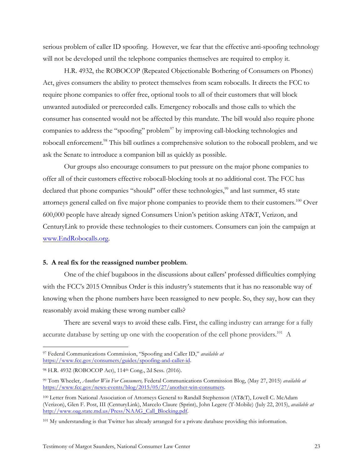serious problem of caller ID spoofing. However, we fear that the effective anti-spoofing technology will not be developed until the telephone companies themselves are required to employ it.

H.R. 4932, the ROBOCOP (Repeated Objectionable Bothering of Consumers on Phones) Act, gives consumers the ability to protect themselves from scam robocalls. It directs the FCC to require phone companies to offer free, optional tools to all of their customers that will block unwanted autodialed or prerecorded calls. Emergency robocalls and those calls to which the consumer has consented would not be affected by this mandate. The bill would also require phone companies to address the "spoofing" problem<sup>97</sup> by improving call-blocking technologies and robocall enforcement.<sup>98</sup> This bill outlines a comprehensive solution to the robocall problem, and we ask the Senate to introduce a companion bill as quickly as possible.

Our groups also encourage consumers to put pressure on the major phone companies to offer all of their customers effective robocall-blocking tools at no additional cost. The FCC has declared that phone companies "should" offer these technologies,<sup>99</sup> and last summer, 45 state attorneys general called on five major phone companies to provide them to their customers.<sup>100</sup> Over 600,000 people have already signed Consumers Union's petition asking AT&T, Verizon, and CenturyLink to provide these technologies to their customers. Consumers can join the campaign at www.EndRobocalls.org.

#### **5. A real fix for the reassigned number problem**.

One of the chief bugaboos in the discussions about callers' professed difficulties complying with the FCC's 2015 Omnibus Order is this industry's statements that it has no reasonable way of knowing when the phone numbers have been reassigned to new people. So, they say, how can they reasonably avoid making these wrong number calls?

There are several ways to avoid these calls. First, the calling industry can arrange for a fully accurate database by setting up one with the cooperation of the cell phone providers.<sup>101</sup> A

 <sup>97</sup> Federal Communications Commission, "Spoofing and Caller ID," *available at*  https://www.fcc.gov/consumers/guides/spoofing-and-caller-id.

<sup>98</sup> H.R. 4932 (ROBOCOP Act), 114<sup>th</sup> Cong., 2d Sess. (2016).

<sup>99</sup> Tom Wheeler, *Another Win For Consumers,* Federal Communications Commission Blog, (May 27, 2015) *available at* https://www.fcc.gov/news-events/blog/2015/05/27/another-win-consumers.

<sup>100</sup> Letter from National Association of Attorneys General to Randall Stephenson (AT&T), Lowell C. McAdam (Verizon), Glen F. Post, III (CenturyLink), Marcelo Claure (Sprint), John Legere (T-Mobile) (July 22, 2015), *available at*  http://www.oag.state.md.us/Press/NAAG\_Call\_Blocking.pdf.

<sup>101</sup> My understanding is that Twitter has already arranged for a private database providing this information.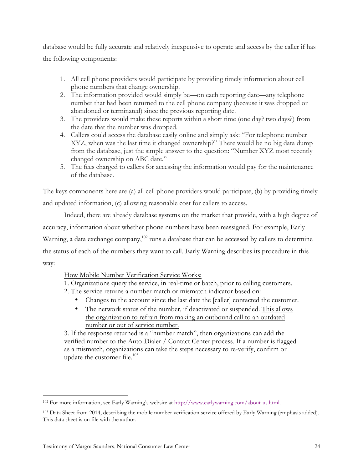database would be fully accurate and relatively inexpensive to operate and access by the caller if has the following components:

- 1. All cell phone providers would participate by providing timely information about cell phone numbers that change ownership.
- 2. The information provided would simply be—on each reporting date—any telephone number that had been returned to the cell phone company (because it was dropped or abandoned or terminated) since the previous reporting date.
- 3. The providers would make these reports within a short time (one day? two days?) from the date that the number was dropped.
- 4. Callers could access the database easily online and simply ask: "For telephone number XYZ, when was the last time it changed ownership?" There would be no big data dump from the database, just the simple answer to the question: "Number XYZ most recently changed ownership on ABC date."
- 5. The fees charged to callers for accessing the information would pay for the maintenance of the database.

The keys components here are (a) all cell phone providers would participate, (b) by providing timely and updated information, (c) allowing reasonable cost for callers to access.

Indeed, there are already database systems on the market that provide, with a high degree of accuracy, information about whether phone numbers have been reassigned. For example, Early Warning, a data exchange company, $102$  runs a database that can be accessed by callers to determine the status of each of the numbers they want to call. Early Warning describes its procedure in this way:

# How Mobile Number Verification Service Works:

1. Organizations query the service, in real-time or batch, prior to calling customers.

- 2. The service returns a number match or mismatch indicator based on:
	- Changes to the account since the last date the [caller] contacted the customer.
	- The network status of the number, if deactivated or suspended. This allows the organization to refrain from making an outbound call to an outdated number or out of service number.

3. If the response returned is a "number match", then organizations can add the verified number to the Auto-Dialer / Contact Center process. If a number is flagged as a mismatch, organizations can take the steps necessary to re-verify, confirm or update the customer file. $103$ 

 <sup>102</sup> For more information, see Early Warning's website at http://www.earlywarning.com/about-us.html.

<sup>&</sup>lt;sup>103</sup> Data Sheet from 2014, describing the mobile number verification service offered by Early Warning (emphasis added). This data sheet is on file with the author.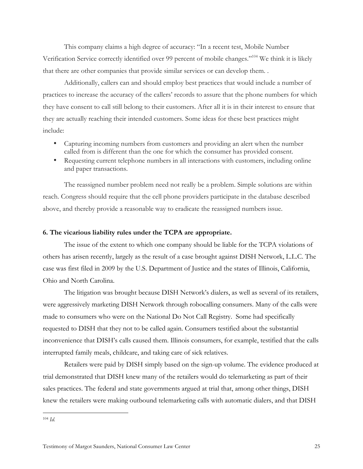This company claims a high degree of accuracy: "In a recent test, Mobile Number Verification Service correctly identified over 99 percent of mobile changes."104 We think it is likely that there are other companies that provide similar services or can develop them. .

Additionally, callers can and should employ best practices that would include a number of practices to increase the accuracy of the callers' records to assure that the phone numbers for which they have consent to call still belong to their customers. After all it is in their interest to ensure that they are actually reaching their intended customers. Some ideas for these best practices might include:

- Capturing incoming numbers from customers and providing an alert when the number called from is different than the one for which the consumer has provided consent.
- Requesting current telephone numbers in all interactions with customers, including online and paper transactions.

The reassigned number problem need not really be a problem. Simple solutions are within reach. Congress should require that the cell phone providers participate in the database described above, and thereby provide a reasonable way to eradicate the reassigned numbers issue.

### **6. The vicarious liability rules under the TCPA are appropriate.**

The issue of the extent to which one company should be liable for the TCPA violations of others has arisen recently, largely as the result of a case brought against DISH Network, L.L.C. The case was first filed in 2009 by the U.S. Department of Justice and the states of Illinois, California, Ohio and North Carolina.

The litigation was brought because DISH Network's dialers, as well as several of its retailers, were aggressively marketing DISH Network through robocalling consumers. Many of the calls were made to consumers who were on the National Do Not Call Registry. Some had specifically requested to DISH that they not to be called again. Consumers testified about the substantial inconvenience that DISH's calls caused them. Illinois consumers, for example, testified that the calls interrupted family meals, childcare, and taking care of sick relatives.

Retailers were paid by DISH simply based on the sign-up volume. The evidence produced at trial demonstrated that DISH knew many of the retailers would do telemarketing as part of their sales practices. The federal and state governments argued at trial that, among other things, DISH knew the retailers were making outbound telemarketing calls with automatic dialers, and that DISH

 <sup>104</sup> *Id.*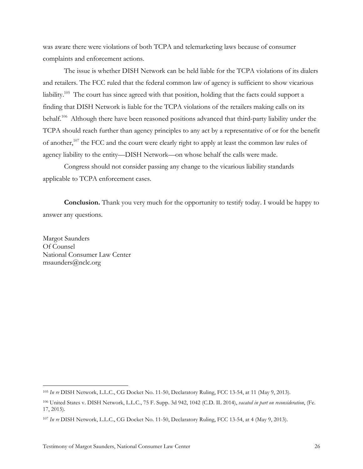was aware there were violations of both TCPA and telemarketing laws because of consumer complaints and enforcement actions.

The issue is whether DISH Network can be held liable for the TCPA violations of its dialers and retailers. The FCC ruled that the federal common law of agency is sufficient to show vicarious liability.<sup>105</sup> The court has since agreed with that position, holding that the facts could support a finding that DISH Network is liable for the TCPA violations of the retailers making calls on its behalf.<sup>106</sup> Although there have been reasoned positions advanced that third-party liability under the TCPA should reach further than agency principles to any act by a representative of or for the benefit of another,<sup>107</sup> the FCC and the court were clearly right to apply at least the common law rules of agency liability to the entity—DISH Network—on whose behalf the calls were made.

Congress should not consider passing any change to the vicarious liability standards applicable to TCPA enforcement cases.

**Conclusion.** Thank you very much for the opportunity to testify today. I would be happy to answer any questions.

Margot Saunders Of Counsel National Consumer Law Center msaunders@nclc.org

 <sup>105</sup> *In re* DISH Network, L.L.C., CG Docket No. 11-50, Declaratory Ruling, FCC 13-54, at 11 (May 9, 2013).

<sup>106</sup> United States v. DISH Network, L.L.C., 75 F. Supp. 3d 942, 1042 (C.D. IL 2014), *vacated in part on reconsideration*, (Fe. 17, 2015).

<sup>107</sup> *In re* DISH Network, L.L.C., CG Docket No. 11-50, Declaratory Ruling, FCC 13-54, at 4 (May 9, 2013).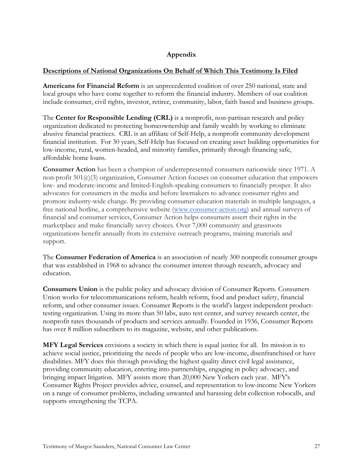# **Appendix**

## **Descriptions of National Organizations On Behalf of Which This Testimony Is Filed**

**Americans for Financial Reform** is an unprecedented coalition of over 250 national, state and local groups who have come together to reform the financial industry. Members of our coalition include consumer, civil rights, investor, retiree, community, labor, faith based and business groups.

The **Center for Responsible Lending (CRL)** is a nonprofit, non-partisan research and policy organization dedicated to protecting homeownership and family wealth by working to eliminate abusive financial practices. CRL is an affiliate of Self-Help, a nonprofit community development financial institution. For 30 years, Self-Help has focused on creating asset building opportunities for low-income, rural, women-headed, and minority families, primarily through financing safe, affordable home loans.

**Consumer Action** has been a champion of underrepresented consumers nationwide since 1971. A non-profit 501(c)(3) organization, Consumer Action focuses on consumer education that empowers low- and moderate-income and limited-English-speaking consumers to financially prosper. It also advocates for consumers in the media and before lawmakers to advance consumer rights and promote industry-wide change. By providing consumer education materials in multiple languages, a free national hotline, a comprehensive website (www.consumer-action.org) and annual surveys of financial and consumer services, Consumer Action helps consumers assert their rights in the marketplace and make financially savvy choices. Over 7,000 community and grassroots organizations benefit annually from its extensive outreach programs, training materials and support.

The **Consumer Federation of America** is an association of nearly 300 nonprofit consumer groups that was established in 1968 to advance the consumer interest through research, advocacy and education.

**Consumers Union** is the public policy and advocacy division of Consumer Reports. Consumers Union works for telecommunications reform, health reform, food and product safety, financial reform, and other consumer issues. Consumer Reports is the world's largest independent producttesting organization. Using its more than 50 labs, auto test center, and survey research center, the nonprofit rates thousands of products and services annually. Founded in 1936, Consumer Reports has over 8 million subscribers to its magazine, website, and other publications.

**MFY Legal Services** envisions a society in which there is equal justice for all. Its mission is to achieve social justice, prioritizing the needs of people who are low-income, disenfranchised or have disabilities. MFY does this through providing the highest quality direct civil legal assistance, providing community education, entering into partnerships, engaging in policy advocacy, and bringing impact litigation. MFY assists more than 20,000 New Yorkers each year. MFY's Consumer Rights Project provides advice, counsel, and representation to low-income New Yorkers on a range of consumer problems, including unwanted and harassing debt collection robocalls, and supports strengthening the TCPA.